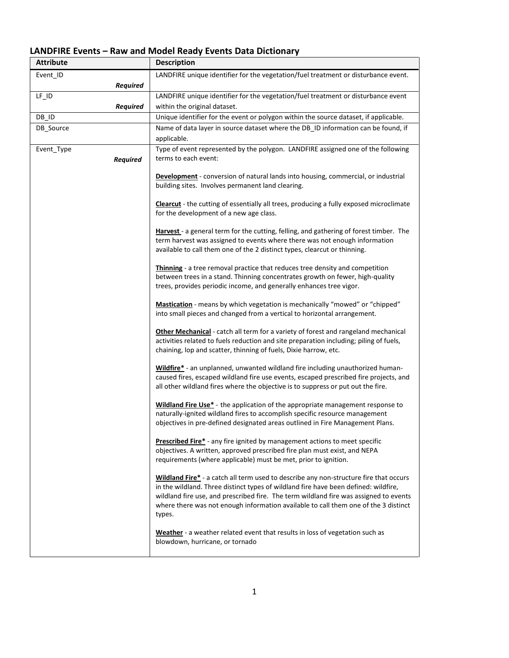## **LANDFIRE Events – Raw and Model Ready Events Data Dictionary**

| <b>Attribute</b> | <b>Description</b>                                                                                                                                                           |
|------------------|------------------------------------------------------------------------------------------------------------------------------------------------------------------------------|
| Event_ID         | LANDFIRE unique identifier for the vegetation/fuel treatment or disturbance event.                                                                                           |
| <b>Required</b>  |                                                                                                                                                                              |
| $LF$ $ID$        | LANDFIRE unique identifier for the vegetation/fuel treatment or disturbance event                                                                                            |
| Required         | within the original dataset.                                                                                                                                                 |
| DB_ID            | Unique identifier for the event or polygon within the source dataset, if applicable.                                                                                         |
| DB Source        | Name of data layer in source dataset where the DB_ID information can be found, if                                                                                            |
|                  | applicable.                                                                                                                                                                  |
| Event_Type       | Type of event represented by the polygon. LANDFIRE assigned one of the following                                                                                             |
| <b>Required</b>  | terms to each event:                                                                                                                                                         |
|                  |                                                                                                                                                                              |
|                  | Development - conversion of natural lands into housing, commercial, or industrial                                                                                            |
|                  | building sites. Involves permanent land clearing.                                                                                                                            |
|                  | <b>Clearcut</b> - the cutting of essentially all trees, producing a fully exposed microclimate                                                                               |
|                  | for the development of a new age class.                                                                                                                                      |
|                  |                                                                                                                                                                              |
|                  | Harvest - a general term for the cutting, felling, and gathering of forest timber. The                                                                                       |
|                  | term harvest was assigned to events where there was not enough information                                                                                                   |
|                  | available to call them one of the 2 distinct types, clearcut or thinning.                                                                                                    |
|                  | Thinning - a tree removal practice that reduces tree density and competition                                                                                                 |
|                  | between trees in a stand. Thinning concentrates growth on fewer, high-quality                                                                                                |
|                  | trees, provides periodic income, and generally enhances tree vigor.                                                                                                          |
|                  |                                                                                                                                                                              |
|                  | Mastication - means by which vegetation is mechanically "mowed" or "chipped"                                                                                                 |
|                  | into small pieces and changed from a vertical to horizontal arrangement.                                                                                                     |
|                  | <b>Other Mechanical</b> - catch all term for a variety of forest and rangeland mechanical                                                                                    |
|                  | activities related to fuels reduction and site preparation including; piling of fuels,                                                                                       |
|                  | chaining, lop and scatter, thinning of fuels, Dixie harrow, etc.                                                                                                             |
|                  |                                                                                                                                                                              |
|                  | Wildfire* - an unplanned, unwanted wildland fire including unauthorized human-<br>caused fires, escaped wildland fire use events, escaped prescribed fire projects, and      |
|                  | all other wildland fires where the objective is to suppress or put out the fire.                                                                                             |
|                  |                                                                                                                                                                              |
|                  | <b>Wildland Fire Use*</b> - the application of the appropriate management response to                                                                                        |
|                  | naturally-ignited wildland fires to accomplish specific resource management                                                                                                  |
|                  | objectives in pre-defined designated areas outlined in Fire Management Plans.                                                                                                |
|                  | <b>Prescribed Fire*</b> - any fire ignited by management actions to meet specific                                                                                            |
|                  | objectives. A written, approved prescribed fire plan must exist, and NEPA                                                                                                    |
|                  | requirements (where applicable) must be met, prior to ignition.                                                                                                              |
|                  |                                                                                                                                                                              |
|                  | Wildland Fire* - a catch all term used to describe any non-structure fire that occurs<br>in the wildland. Three distinct types of wildland fire have been defined: wildfire, |
|                  | wildland fire use, and prescribed fire. The term wildland fire was assigned to events                                                                                        |
|                  | where there was not enough information available to call them one of the 3 distinct                                                                                          |
|                  | types.                                                                                                                                                                       |
|                  |                                                                                                                                                                              |
|                  | Weather - a weather related event that results in loss of vegetation such as                                                                                                 |
|                  | blowdown, hurricane, or tornado                                                                                                                                              |
|                  |                                                                                                                                                                              |